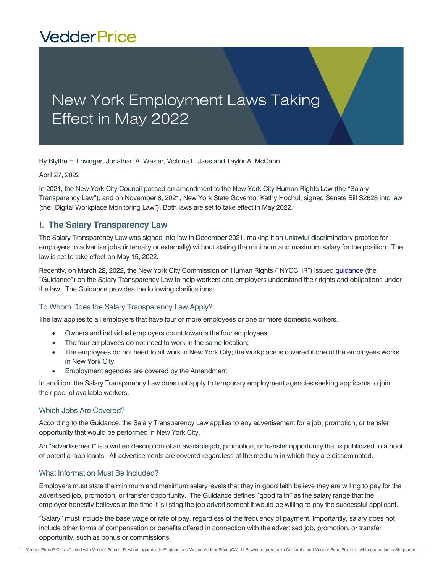# **VedderPrice**

## New York Employment Laws Taking Effect in May 2022

By Blythe E. Lovinger, Jonathan A. Wexler, Victoria L. Jaus and Taylor A. McCann

April 27, 2022

In 2021, the New York City Council passed an amendment to the New York City Human Rights Law (the "Salary Transparency Law"), and on November 8, 2021, New York State Governor Kathy Hochul, signed Senate Bill S2628 into law (the "Digital Workplace Monitoring Law"). Both laws are set to take effect in May 2022.

### **I. The Salary Transparency Law**

The Salary Transparency Law was signed into law in December 2021, making it an unlawful discriminatory practice for employers to advertise jobs (internally or externally) without stating the minimum and maximum salary for the position. The law is set to take effect on May 15, 2022.

Recently, on March 22, 2022, the New York City Commission on Human Rights ("NYCCHR") issued *quidance* (the "Guidance") on the Salary Transparency Law to help workers and employers understand their rights and obligations under the law. The Guidance provides the following clarifications:

### To Whom Does the Salary Transparency Law Apply?

The law applies to all employers that have four or more employees or one or more domestic workers.

- Owners and individual employers count towards the four employees;
- The four employees do not need to work in the same location;
- The employees do not need to all work in New York City; the workplace is covered if one of the employees works in New York City;
- Employment agencies are covered by the Amendment.

In addition, the Salary Transparency Law does not apply to temporary employment agencies seeking applicants to join their pool of available workers.

#### Which Jobs Are Covered?

According to the Guidance, the Salary Transparency Law applies to any advertisement for a job, promotion, or transfer opportunity that would be performed in New York City.

An "advertisement" is a written description of an available job, promotion, or transfer opportunity that is publicized to a pool of potential applicants. All advertisements are covered regardless of the medium in which they are disseminated.

#### What Information Must Be Included?

Employers must state the minimum and maximum salary levels that they in good faith believe they are willing to pay for the advertised job, promotion, or transfer opportunity. The Guidance defines "good faith" as the salary range that the employer honestly believes at the time it is listing the job advertisement it would be willing to pay the successful applicant.

"Salary" must include the base wage or rate of pay, regardless of the frequency of payment. Importantly, salary does not include other forms of compensation or benefits offered in connection with the advertised job, promotion, or transfer opportunity, such as bonus or commissions.